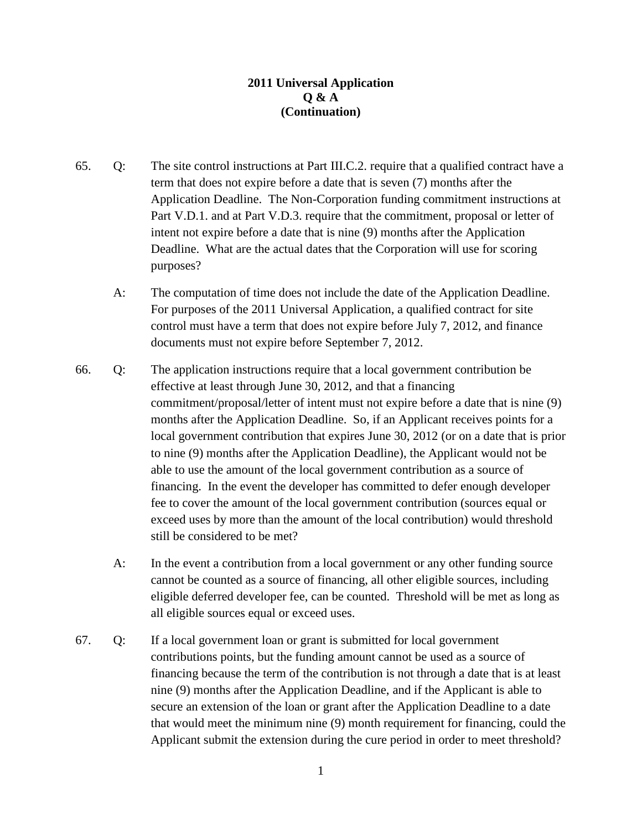## **2011 Universal Application Q & A (Continuation)**

- 65. Q: The site control instructions at Part III.C.2. require that a qualified contract have a term that does not expire before a date that is seven (7) months after the Application Deadline. The Non-Corporation funding commitment instructions at Part V.D.1. and at Part V.D.3. require that the commitment, proposal or letter of intent not expire before a date that is nine (9) months after the Application Deadline. What are the actual dates that the Corporation will use for scoring purposes?
	- A: The computation of time does not include the date of the Application Deadline. For purposes of the 2011 Universal Application, a qualified contract for site control must have a term that does not expire before July 7, 2012, and finance documents must not expire before September 7, 2012.
- 66. Q: The application instructions require that a local government contribution be effective at least through June 30, 2012, and that a financing commitment/proposal/letter of intent must not expire before a date that is nine (9) months after the Application Deadline. So, if an Applicant receives points for a local government contribution that expires June 30, 2012 (or on a date that is prior to nine (9) months after the Application Deadline), the Applicant would not be able to use the amount of the local government contribution as a source of financing. In the event the developer has committed to defer enough developer fee to cover the amount of the local government contribution (sources equal or exceed uses by more than the amount of the local contribution) would threshold still be considered to be met?
	- A: In the event a contribution from a local government or any other funding source cannot be counted as a source of financing, all other eligible sources, including eligible deferred developer fee, can be counted. Threshold will be met as long as all eligible sources equal or exceed uses.
- 67. Q: If a local government loan or grant is submitted for local government contributions points, but the funding amount cannot be used as a source of financing because the term of the contribution is not through a date that is at least nine (9) months after the Application Deadline, and if the Applicant is able to secure an extension of the loan or grant after the Application Deadline to a date that would meet the minimum nine (9) month requirement for financing, could the Applicant submit the extension during the cure period in order to meet threshold?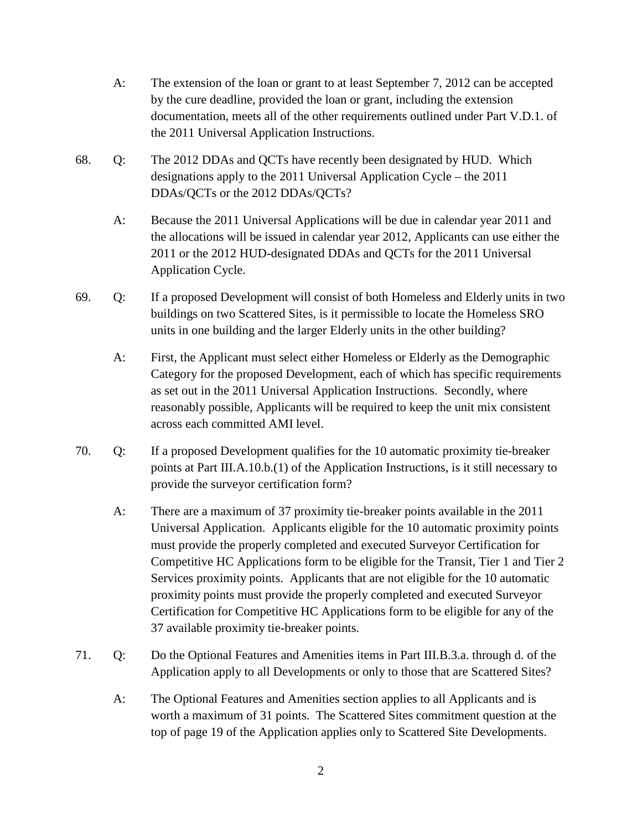- A: The extension of the loan or grant to at least September 7, 2012 can be accepted by the cure deadline, provided the loan or grant, including the extension documentation, meets all of the other requirements outlined under Part V.D.1. of the 2011 Universal Application Instructions.
- 68. Q: The 2012 DDAs and QCTs have recently been designated by HUD. Which designations apply to the 2011 Universal Application Cycle – the 2011 DDAs/QCTs or the 2012 DDAs/QCTs?
	- A: Because the 2011 Universal Applications will be due in calendar year 2011 and the allocations will be issued in calendar year 2012, Applicants can use either the 2011 or the 2012 HUD-designated DDAs and QCTs for the 2011 Universal Application Cycle.
- 69. Q: If a proposed Development will consist of both Homeless and Elderly units in two buildings on two Scattered Sites, is it permissible to locate the Homeless SRO units in one building and the larger Elderly units in the other building?
	- A: First, the Applicant must select either Homeless or Elderly as the Demographic Category for the proposed Development, each of which has specific requirements as set out in the 2011 Universal Application Instructions. Secondly, where reasonably possible, Applicants will be required to keep the unit mix consistent across each committed AMI level.
- 70. Q: If a proposed Development qualifies for the 10 automatic proximity tie-breaker points at Part III.A.10.b.(1) of the Application Instructions, is it still necessary to provide the surveyor certification form?
	- A: There are a maximum of 37 proximity tie-breaker points available in the 2011 Universal Application. Applicants eligible for the 10 automatic proximity points must provide the properly completed and executed Surveyor Certification for Competitive HC Applications form to be eligible for the Transit, Tier 1 and Tier 2 Services proximity points. Applicants that are not eligible for the 10 automatic proximity points must provide the properly completed and executed Surveyor Certification for Competitive HC Applications form to be eligible for any of the 37 available proximity tie-breaker points.
- 71. Q: Do the Optional Features and Amenities items in Part III.B.3.a. through d. of the Application apply to all Developments or only to those that are Scattered Sites?
	- A: The Optional Features and Amenities section applies to all Applicants and is worth a maximum of 31 points. The Scattered Sites commitment question at the top of page 19 of the Application applies only to Scattered Site Developments.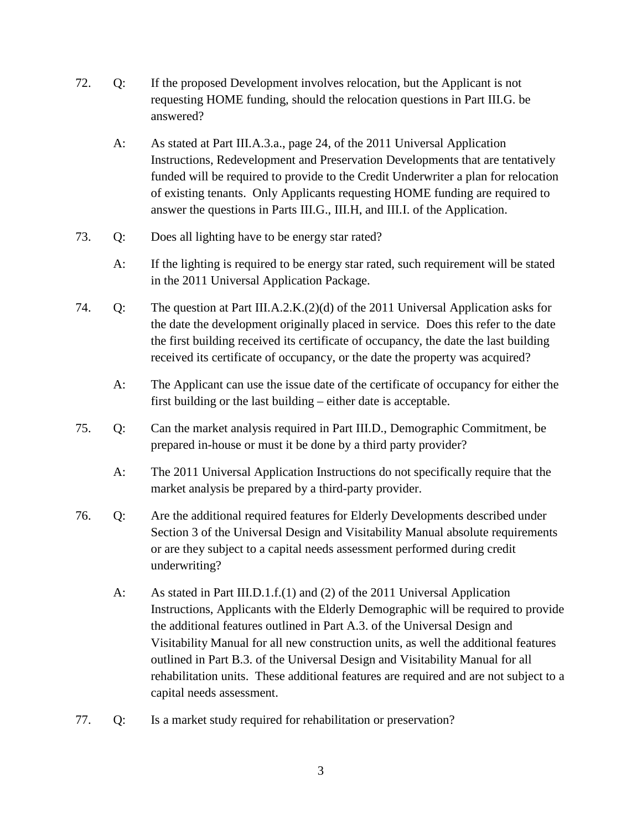- 72. Q: If the proposed Development involves relocation, but the Applicant is not requesting HOME funding, should the relocation questions in Part III.G. be answered?
	- A: As stated at Part III.A.3.a., page 24, of the 2011 Universal Application Instructions, Redevelopment and Preservation Developments that are tentatively funded will be required to provide to the Credit Underwriter a plan for relocation of existing tenants. Only Applicants requesting HOME funding are required to answer the questions in Parts III.G., III.H, and III.I. of the Application.
- 73. Q: Does all lighting have to be energy star rated?
	- A: If the lighting is required to be energy star rated, such requirement will be stated in the 2011 Universal Application Package.
- 74. Q: The question at Part III.A.2.K.(2)(d) of the 2011 Universal Application asks for the date the development originally placed in service. Does this refer to the date the first building received its certificate of occupancy, the date the last building received its certificate of occupancy, or the date the property was acquired?
	- A: The Applicant can use the issue date of the certificate of occupancy for either the first building or the last building – either date is acceptable.
- 75. Q: Can the market analysis required in Part III.D., Demographic Commitment, be prepared in-house or must it be done by a third party provider?
	- A: The 2011 Universal Application Instructions do not specifically require that the market analysis be prepared by a third-party provider.
- 76. Q: Are the additional required features for Elderly Developments described under Section 3 of the Universal Design and Visitability Manual absolute requirements or are they subject to a capital needs assessment performed during credit underwriting?
	- A: As stated in Part III.D.1.f.(1) and (2) of the 2011 Universal Application Instructions, Applicants with the Elderly Demographic will be required to provide the additional features outlined in Part A.3. of the Universal Design and Visitability Manual for all new construction units, as well the additional features outlined in Part B.3. of the Universal Design and Visitability Manual for all rehabilitation units. These additional features are required and are not subject to a capital needs assessment.
- 77. Q: Is a market study required for rehabilitation or preservation?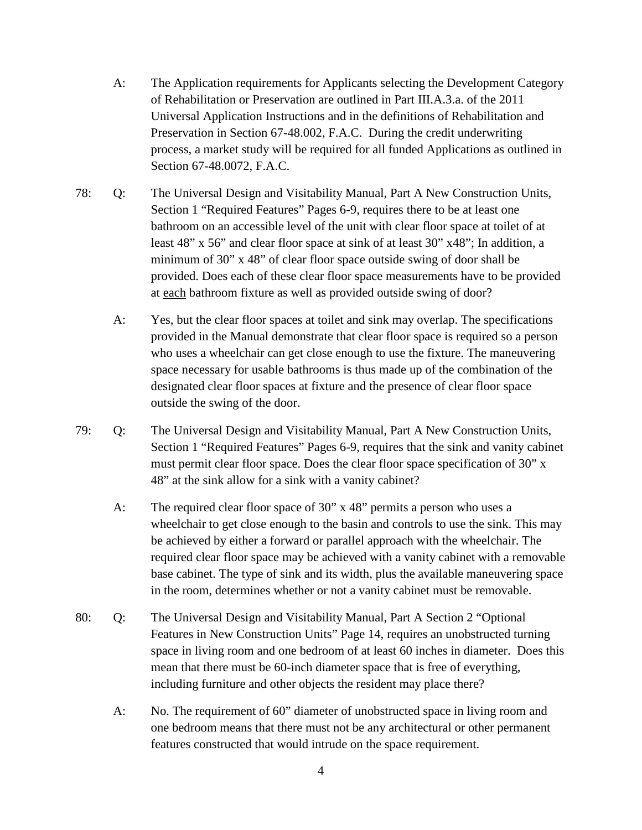- A: The Application requirements for Applicants selecting the Development Category of Rehabilitation or Preservation are outlined in Part III.A.3.a. of the 2011 Universal Application Instructions and in the definitions of Rehabilitation and Preservation in Section 67-48.002, F.A.C. During the credit underwriting process, a market study will be required for all funded Applications as outlined in Section 67-48.0072, F.A.C.
- 78: Q: The Universal Design and Visitability Manual, Part A New Construction Units, Section 1 "Required Features" Pages 6-9, requires there to be at least one bathroom on an accessible level of the unit with clear floor space at toilet of at least 48" x 56" and clear floor space at sink of at least 30" x48"; In addition, a minimum of 30" x 48" of clear floor space outside swing of door shall be provided. Does each of these clear floor space measurements have to be provided at each bathroom fixture as well as provided outside swing of door?
	- A: Yes, but the clear floor spaces at toilet and sink may overlap. The specifications provided in the Manual demonstrate that clear floor space is required so a person who uses a wheelchair can get close enough to use the fixture. The maneuvering space necessary for usable bathrooms is thus made up of the combination of the designated clear floor spaces at fixture and the presence of clear floor space outside the swing of the door.
- 79: Q: The Universal Design and Visitability Manual, Part A New Construction Units, Section 1 "Required Features" Pages 6-9, requires that the sink and vanity cabinet must permit clear floor space. Does the clear floor space specification of 30" x 48" at the sink allow for a sink with a vanity cabinet?
	- A: The required clear floor space of 30" x 48" permits a person who uses a wheelchair to get close enough to the basin and controls to use the sink. This may be achieved by either a forward or parallel approach with the wheelchair. The required clear floor space may be achieved with a vanity cabinet with a removable base cabinet. The type of sink and its width, plus the available maneuvering space in the room, determines whether or not a vanity cabinet must be removable.
- 80: Q: The Universal Design and Visitability Manual, Part A Section 2 "Optional Features in New Construction Units" Page 14, requires an unobstructed turning space in living room and one bedroom of at least 60 inches in diameter. Does this mean that there must be 60-inch diameter space that is free of everything, including furniture and other objects the resident may place there?
	- A: No. The requirement of 60" diameter of unobstructed space in living room and one bedroom means that there must not be any architectural or other permanent features constructed that would intrude on the space requirement.